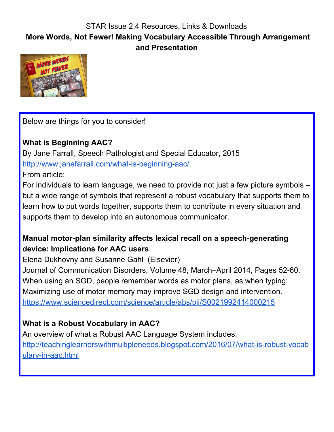## STAR Issue 2.4 Resources, Links & Downloads **More Words, Not Fewer! Making Vocabulary Accessible Through Arrangement and Presentation**



Below are things for you to consider!

#### **What is Beginning AAC?**

By Jane Farrall, Speech Pathologist and Special Educator, 2015 <http://www.janefarrall.com/what-is-beginning-aac/>

From article:

For individuals to learn language, we need to provide not just a few picture symbols – but a wide range of symbols that represent a robust vocabulary that supports them to learn how to put words together, supports them to contribute in every situation and supports them to develop into an autonomous communicator.

### **Manual motor-plan similarity affects lexical recall on a speech-generating device: Implications for AAC users**

Elena Dukhovny and Susanne Gahl (Elsevier)

Journal of Communication Disorders, Volume 48, March–April 2014, Pages 52-60. When using an SGD, people remember words as motor plans, as when typing; Maximizing use of motor memory may improve SGD design and intervention. <https://www.sciencedirect.com/science/article/abs/pii/S0021992414000215>

# **What is a Robust Vocabulary in AAC?**

An overview of what a Robust AAC Language System includes. [http://teachinglearnerswithmultipleneeds.blogspot.com/2016/07/what-is-robust-vocab](http://teachinglearnerswithmultipleneeds.blogspot.com/2016/07/what-is-robust-vocabulary-in-aac.html) [ulary-in-aac.html](http://teachinglearnerswithmultipleneeds.blogspot.com/2016/07/what-is-robust-vocabulary-in-aac.html)